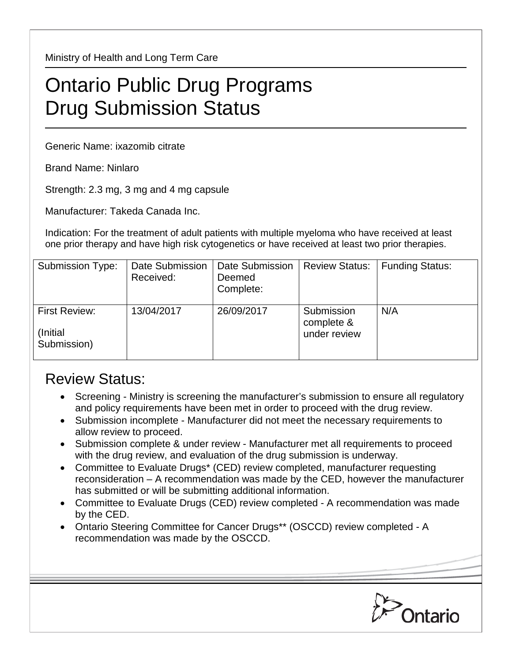Ministry of Health and Long Term Care

## Ontario Public Drug Programs Drug Submission Status

Generic Name: ixazomib citrate

Brand Name: Ninlaro

Strength: 2.3 mg, 3 mg and 4 mg capsule

Manufacturer: Takeda Canada Inc.

Indication: For the treatment of adult patients with multiple myeloma who have received at least one prior therapy and have high risk cytogenetics or have received at least two prior therapies.

| <b>Submission Type:</b>                          | Date Submission<br>Received: | <b>Date Submission</b><br>Deemed<br>Complete: | <b>Review Status:</b>                    | <b>Funding Status:</b> |
|--------------------------------------------------|------------------------------|-----------------------------------------------|------------------------------------------|------------------------|
| <b>First Review:</b><br>(Initial)<br>Submission) | 13/04/2017                   | 26/09/2017                                    | Submission<br>complete &<br>under review | N/A                    |

## Review Status:

- Screening Ministry is screening the manufacturer's submission to ensure all regulatory and policy requirements have been met in order to proceed with the drug review.
- Submission incomplete Manufacturer did not meet the necessary requirements to allow review to proceed.
- Submission complete & under review Manufacturer met all requirements to proceed with the drug review, and evaluation of the drug submission is underway.
- Committee to Evaluate Drugs\* (CED) review completed, manufacturer requesting reconsideration – A recommendation was made by the CED, however the manufacturer has submitted or will be submitting additional information.
- Committee to Evaluate Drugs (CED) review completed A recommendation was made by the CED.
- Ontario Steering Committee for Cancer Drugs\*\* (OSCCD) review completed A recommendation was made by the OSCCD.